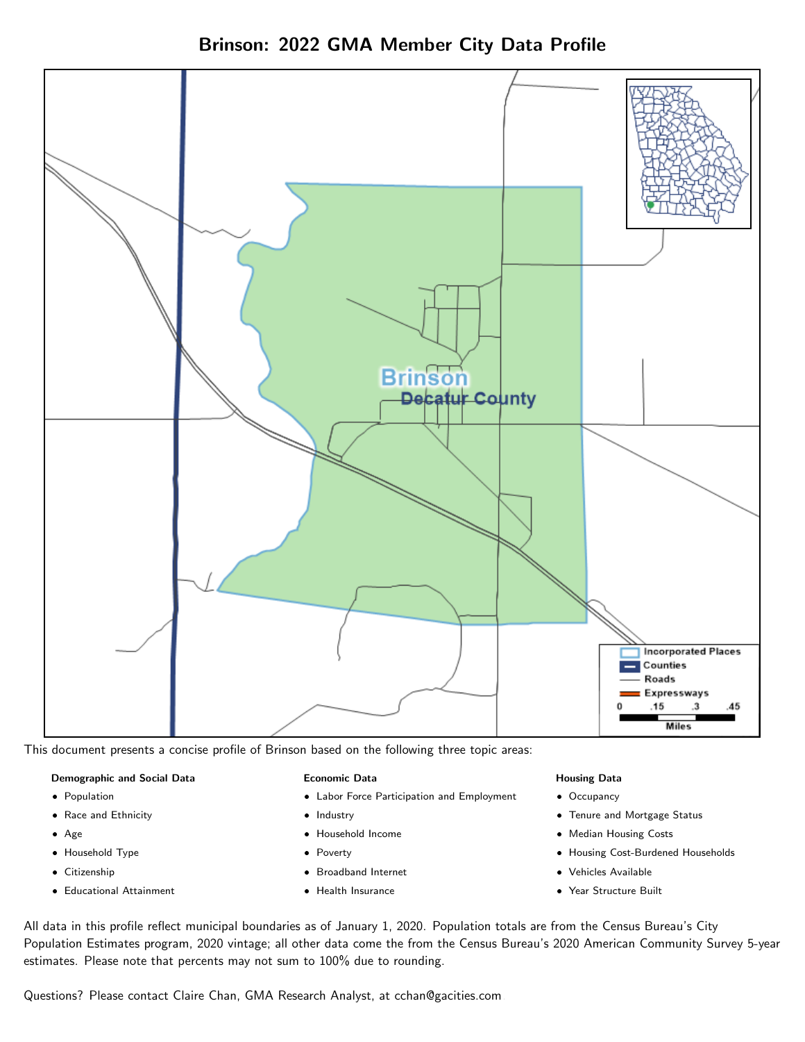Brinson: 2022 GMA Member City Data Profile



This document presents a concise profile of Brinson based on the following three topic areas:

### Demographic and Social Data

- **•** Population
- Race and Ethnicity
- Age
- Household Type
- **Citizenship**
- Educational Attainment

### Economic Data

- Labor Force Participation and Employment
- Industry
- Household Income
- Poverty
- Broadband Internet
- Health Insurance

### Housing Data

- Occupancy
- Tenure and Mortgage Status
- Median Housing Costs
- Housing Cost-Burdened Households
- Vehicles Available
- Year Structure Built

All data in this profile reflect municipal boundaries as of January 1, 2020. Population totals are from the Census Bureau's City Population Estimates program, 2020 vintage; all other data come the from the Census Bureau's 2020 American Community Survey 5-year estimates. Please note that percents may not sum to 100% due to rounding.

Questions? Please contact Claire Chan, GMA Research Analyst, at [cchan@gacities.com.](mailto:cchan@gacities.com)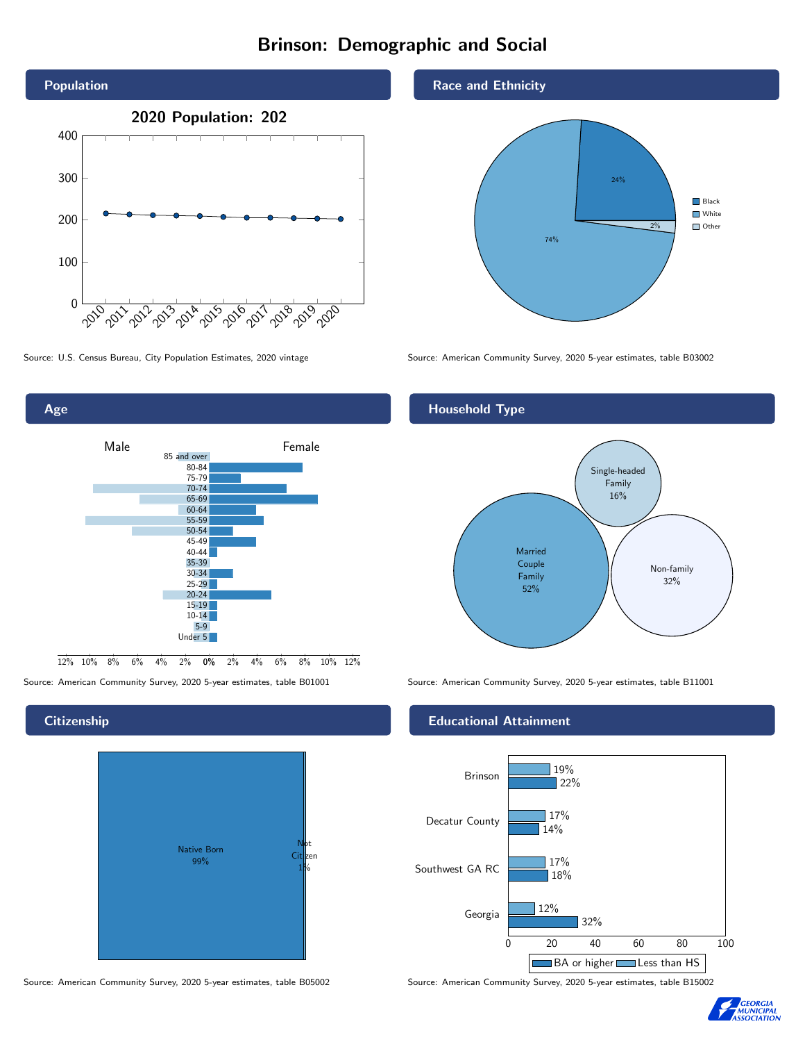# Brinson: Demographic and Social





# **Citizenship**

Age



Source: American Community Survey, 2020 5-year estimates, table B05002 Source: American Community Survey, 2020 5-year estimates, table B15002

## Race and Ethnicity



Source: U.S. Census Bureau, City Population Estimates, 2020 vintage Source: American Community Survey, 2020 5-year estimates, table B03002

# Household Type



Source: American Community Survey, 2020 5-year estimates, table B01001 Source: American Community Survey, 2020 5-year estimates, table B11001

# Educational Attainment



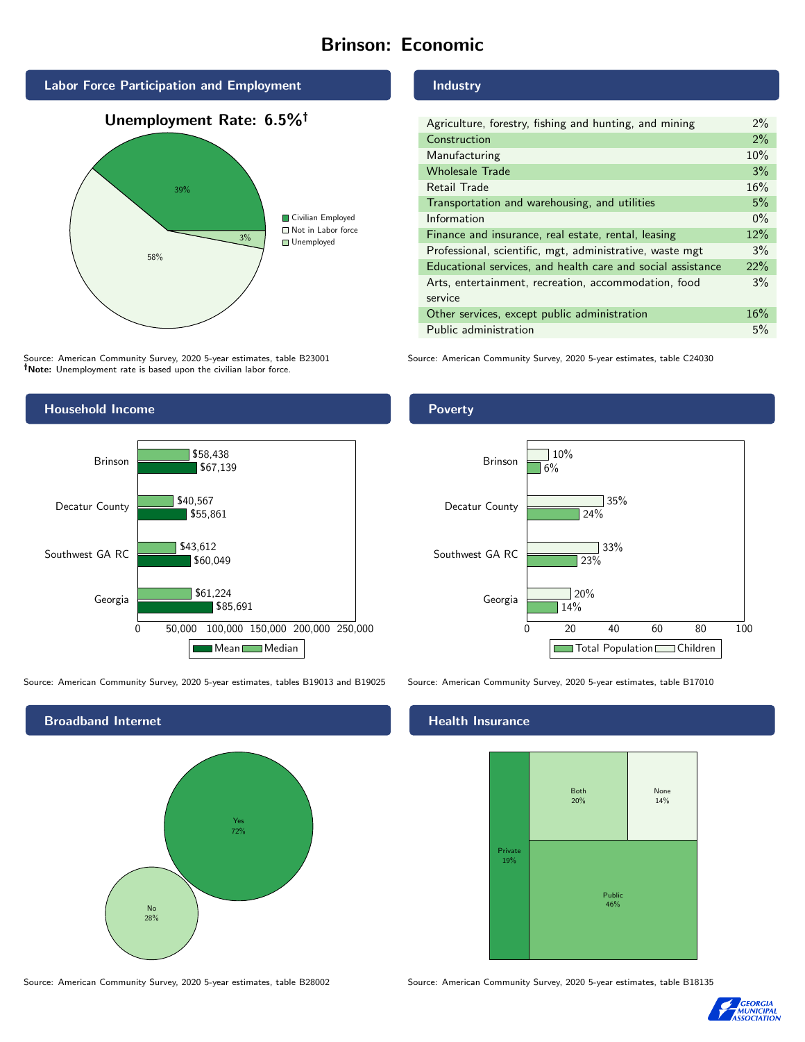# Brinson: Economic



Source: American Community Survey, 2020 5-year estimates, table B23001 Note: Unemployment rate is based upon the civilian labor force.

# Industry

| Agriculture, forestry, fishing and hunting, and mining      | $2\%$ |
|-------------------------------------------------------------|-------|
| Construction                                                | 2%    |
| Manufacturing                                               | 10%   |
| <b>Wholesale Trade</b>                                      | 3%    |
| Retail Trade                                                | 16%   |
| Transportation and warehousing, and utilities               | 5%    |
| Information                                                 | $0\%$ |
| Finance and insurance, real estate, rental, leasing         | 12%   |
| Professional, scientific, mgt, administrative, waste mgt    | 3%    |
| Educational services, and health care and social assistance | 22%   |
| Arts, entertainment, recreation, accommodation, food        | 3%    |
| service                                                     |       |
| Other services, except public administration                | 16%   |
| Public administration                                       | 5%    |

Source: American Community Survey, 2020 5-year estimates, table C24030



Source: American Community Survey, 2020 5-year estimates, tables B19013 and B19025 Source: American Community Survey, 2020 5-year estimates, table B17010



Source: American Community Survey, 2020 5-year estimates, table B28002 Source: American Community Survey, 2020 5-year estimates, table B18135

# Poverty



# **Health Insurance**